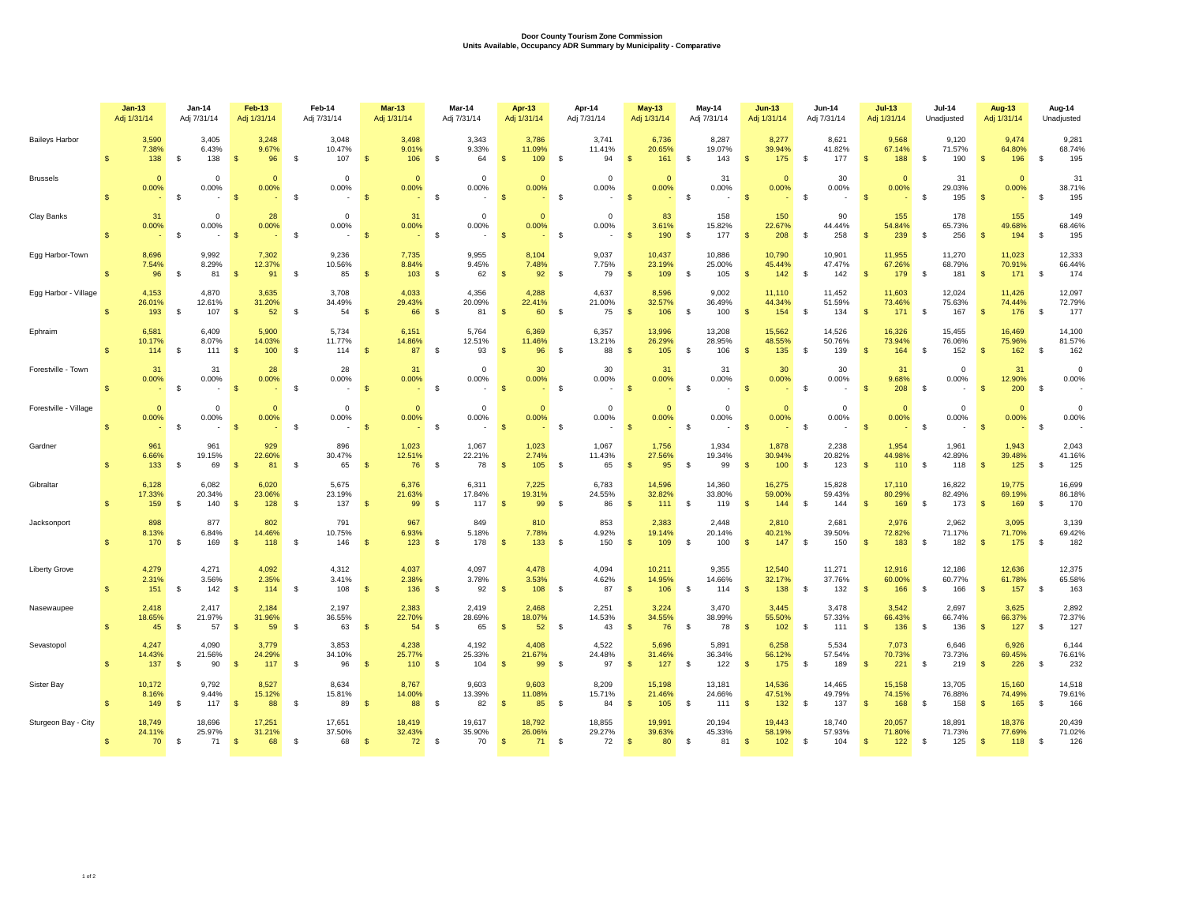## **Door County Tourism Zone Commission Units Available, Occupancy ADR Summary by Municipality - Comparative**

|                       | $Jan-13$                               | Jan-14                                     | Feb-13                                 | Feb-14                                   | $Mar-13$                              | Mar-14                             | Apr-13                                  | Apr-14                                                          | <b>May-13</b>                             | May-14                              | $Jun-13$                                | <b>Jun-14</b>                       | $Jul-13$                                | <b>Jul-14</b>                           | <b>Aug-13</b>                               | Aug-14                              |  |
|-----------------------|----------------------------------------|--------------------------------------------|----------------------------------------|------------------------------------------|---------------------------------------|------------------------------------|-----------------------------------------|-----------------------------------------------------------------|-------------------------------------------|-------------------------------------|-----------------------------------------|-------------------------------------|-----------------------------------------|-----------------------------------------|---------------------------------------------|-------------------------------------|--|
|                       | Adj 1/31/14                            | Adj 7/31/14                                | Adj 1/31/14                            | Adj 7/31/14                              | Adj 1/31/14                           | Adj 7/31/14                        | Adj 1/31/14                             | Adj 7/31/14                                                     | Adj 1/31/14                               | Adj 7/31/14                         | Adj 1/31/14                             | Adj 7/31/14                         | Adj 1/31/14                             | Unadjusted                              | Adj 1/31/14                                 | Unadjusted                          |  |
| <b>Baileys Harbor</b> | 3,590                                  | 3,405                                      | 3,248                                  | 3,048                                    | 3,498                                 | 3,343                              | 3,786                                   | 3,741                                                           | 6,736                                     | 8,287                               | 8,277                                   | 8,621                               | 9,568                                   | 9,120                                   | 9,474                                       | 9,281                               |  |
|                       | 7.38%                                  | 6.43%                                      | 9.67%                                  | 10.47%                                   | 9.01%                                 | 9.33%                              | 11.09%                                  | 11.41%                                                          | 20.65%                                    | 19.07%                              | 39.94%                                  | 41.82%                              | 67.14%                                  | 71.57%                                  | 64.80%                                      | 68.74%                              |  |
|                       | $\mathbf{s}$                           | \$                                         | -S                                     | \$                                       | $\mathbf{s}$                          | \$                                 | $\sqrt{3}$                              | <b>S</b>                                                        | $\mathsf{\$}$                             | <b>S</b>                            | $\mathbf{\$}$                           | 177                                 | 188                                     | 190                                     | $\mathbf{s}$                                | 195                                 |  |
|                       | 138                                    | 138                                        | 96                                     | 107                                      | 106                                   | 64                                 | 109                                     | 94                                                              | 161                                       | 143                                 | 175                                     | \$                                  | $\mathbb{S}$                            | \$                                      | 196                                         | \$                                  |  |
| <b>Brussels</b>       | $\Omega$<br>0.00%                      | $\Omega$<br>0.00%<br>-S                    | $\Omega$<br>0.00%<br><b>S</b>          | $\Omega$<br>0.00%<br>\$                  | $\mathbf{0}$<br>0.00%<br>$\mathbf{s}$ | $\Omega$<br>0.00%<br>S.            | $\Omega$<br>0.00%<br>$\mathbf{s}$       | $\Omega$<br>$0.00\%$<br><b>S</b><br>$\overline{\phantom{a}}$    | $\Omega$<br>0.00%<br>$\mathbf{s}$         | 31<br>0.00%<br><b>S</b>             | $\mathbf{0}$<br>0.00%<br>$\mathbf{s}$   | 30<br>0.00%<br>S.                   | $\Omega$<br>0.00%<br>$\mathbf{s}$       | 31<br>29.03%<br>$\mathbf s$<br>195      | $\Omega$<br>0.00%<br>$\mathbf{s}$           | 31<br>38.71%<br>-S<br>195           |  |
| Clay Banks            | 31<br>0.00%<br>$\mathbf{R}$            | $\mathbf 0$<br>0.00%<br>$\mathbf{\hat{s}}$ | 28<br>0.00%<br>$\mathbf{s}$            | $\mathbf 0$<br>$0.00\%$<br>- S<br>$\sim$ | 31<br>0.00%<br>$\mathbf{s}$           | $\mathbf 0$<br>0.00%<br><b>S</b>   | $\mathbf{0}$<br>0.00%<br>$\mathbf{s}$   | $\mathbf 0$<br>0.00%<br>$\mathbf s$<br>$\overline{\phantom{a}}$ | 83<br>3.61%<br>190<br>$\mathbf{s}$        | 158<br>15.82%<br><b>S</b><br>177    | 150<br>22.67%<br>208<br>$\mathbf{s}$    | 90<br>44.44%<br>$\mathbf{s}$<br>258 | 155<br>54.84%<br>239<br>$\mathbf{s}$    | 178<br>65.73%<br>$\mathbb{S}$<br>256    | 155<br>49.68%<br>$\mathbf{s}$<br>194        | 149<br>68.46%<br>$\mathbf s$<br>195 |  |
| Egg Harbor-Town       | 8,696                                  | 9,992                                      | 7,302                                  | 9,236                                    | 7,735                                 | 9,955                              | 8,104                                   | 9,037                                                           | 10,437                                    | 10,886                              | 10,790                                  | 10,901                              | 11,955                                  | 11,270                                  | 11,023                                      | 12,333                              |  |
|                       | 7.54%                                  | 8.29%                                      | 12.37%                                 | 10.56%                                   | 8.84%                                 | 9.45%                              | 7.48%                                   | 7.75%                                                           | 23.19%                                    | 25.00%                              | 45.44%                                  | 47.47%                              | 67.26%                                  | 68.79%                                  | 70.91%                                      | 66.44%                              |  |
|                       | $\mathbf{s}$                           | - \$                                       | $\mathbf{s}$                           | \$                                       | $\mathbf{s}$                          | -S                                 | $\mathbf{\hat{s}}$                      | 79                                                              | $\mathbf{s}$                              | $\mathbf s$                         | $\mathbf{s}$                            | -S                                  | $\mathbf{s}$                            | - \$                                    | $\mathbf{s}$                                | <b>S</b>                            |  |
|                       | 96                                     | 81                                         | 91                                     | 85                                       | 103                                   | 62                                 | 92                                      | <b>S</b>                                                        | 109                                       | 105                                 | 142                                     | 142                                 | 179                                     | 181                                     | 171                                         | 174                                 |  |
| Egg Harbor - Village  | 4.153<br>26.01%<br>193<br>$\mathbf{s}$ | 4.870<br>12.61%<br>$\mathbb{S}$<br>107     | 3.635<br>31.20%<br>$\mathbf{s}$<br>52  | 3,708<br>34.49%<br>$\mathbb{S}$<br>54    | 4.033<br>29.43%<br>$\mathbf{s}$<br>66 | 4.356<br>20.09%<br><b>S</b><br>81  | 4.288<br>22.41%<br>$\mathbf{s}$         | 4,637<br>21.00%<br>60 \$<br>75                                  | 8.596<br>32.57%<br>$\mathbf{s}$<br>106    | 9.002<br>36.49%<br><b>S</b><br>100  | 11.110<br>44.34%<br>$\mathbf{s}$<br>154 | 11.452<br>51.59%<br>\$<br>134       | 11.603<br>73.46%<br>$\mathbf{s}$<br>171 | 12.024<br>75.63%<br>$\mathbb{S}$<br>167 | 11.426<br>74.44%<br>$\mathcal{S}$<br>176    | 12,097<br>72.79%<br>\$<br>177       |  |
| Ephraim               | 6,581                                  | 6,409                                      | 5,900                                  | 5,734                                    | 6,151                                 | 5,764                              | 6,369                                   | 6,357                                                           | 13,996                                    | 13,208                              | 15,562                                  | 14,526                              | 16,326                                  | 15,455                                  | 16,469                                      | 14,100                              |  |
|                       | 10.17%                                 | 8.07%                                      | 14.03%                                 | 11.77%                                   | 14.86%                                | 12.51%                             | 11.46%                                  | 13.21%                                                          | 26.29%                                    | 28.95%                              | 48.55%                                  | 50.76%                              | 73.94%                                  | 76.06%                                  | 75.96%                                      | 81.57%                              |  |
|                       | $\mathbf{s}$                           | \$                                         | 100                                    | \$                                       | 87                                    | 93                                 | $\mathsf{\$}$                           | 88                                                              | 105                                       | 106                                 | 135                                     | 139                                 | 164                                     | 152                                     | 162                                         | 162                                 |  |
|                       | 114                                    | 111                                        | $\mathbf{s}$                           | 114                                      | $\mathbf{s}$                          | $\mathbb{S}$                       | 96                                      | \$                                                              | $\mathsf{\$}$                             | - \$                                | -\$                                     | \$                                  | $\mathbf{s}$                            | \$                                      | $\mathbf{s}$                                | \$                                  |  |
| Forestville - Town    | 31<br>0.00%<br>$\mathbf{\hat{S}}$      | 31<br>0.00%<br>$\mathbf{\hat{s}}$          | 28<br>0.00%<br>$\mathbf{s}$            | 28<br>0.00%<br>\$                        | 31<br>0.00%<br>$\mathbf{s}$           | $\Omega$<br>0.00%<br><b>S</b>      | 30<br>0.00%<br>$\mathbf{s}$             | 30<br>0.00%<br>$\mathbf s$                                      | 31<br>0.00%<br>$\mathbf{s}$               | 31<br>0.00%<br><b>S</b>             | 30<br>0.00%<br>$\mathbf{s}$             | 30<br>0.00%<br>\$                   | 31<br>9.68%<br>$\mathbf{s}$<br>208      | $\Omega$<br>0.00%<br>$\mathbf s$        | 31<br>12.90%<br>$\mathbf{s}$<br>200         | $\Omega$<br>0.00%<br>$\mathbf s$    |  |
| Forestville - Village | $\mathbf{0}$<br>0.00%                  | $\Omega$<br>0.00%<br>$\mathbf{s}$          | $\Omega$<br>0.00%<br>S                 | $\mathbf{0}$<br>0.00%<br><sup>\$</sup>   | $\mathbf{0}$<br>0.00%<br>-S           | $\mathbf 0$<br>0.00%<br>-S         | $\Omega$<br>0.00%<br>$\mathbf{\hat{s}}$ | $\mathbf{0}$<br>0.00%<br>\$                                     | $\mathbf{0}$<br>0.00%<br>$\mathbf{s}$     | $\Omega$<br>0.00%<br>-S             | $\mathbf{0}$<br>0.00%                   | $\Omega$<br>0.00%<br>\$             | $\mathbf{0}$<br>0.00%<br>$\mathbf{f}$   | $\Omega$<br>0.00%<br>$\mathbf{\hat{s}}$ | $\mathbf{0}$<br>0.00%<br>$\mathbf{\hat{s}}$ | $\Omega$<br>0.00%<br>- \$           |  |
| Gardner               | 961                                    | 961                                        | 929                                    | 896                                      | 1.023                                 | 1,067                              | 1,023                                   | 1,067                                                           | 1.756                                     | 1.934                               | 1.878                                   | 2.238                               | 1,954                                   | 1,961                                   | 1.943                                       | 2,043                               |  |
|                       | 6.66%                                  | 19.15%                                     | 22.60%                                 | 30.47%                                   | 12.51%                                | 22.21%                             | 2.74%                                   | 11.43%                                                          | 27.56%                                    | 19.34%                              | 30.94%                                  | 20.82%                              | 44.98%                                  | 42.89%                                  | 39.48%                                      | 41.16%                              |  |
|                       | 133                                    | \$                                         | 81                                     | 65                                       | 76                                    | 78                                 | 105                                     | 65                                                              | $\mathbf{s}$                              | - \$                                | 100                                     | 123                                 | $\mathbf{s}$                            | - \$                                    | 125                                         | -S                                  |  |
|                       | $\mathbf{s}$                           | 69                                         | -S                                     | \$                                       | $\mathbf{s}$                          | -S                                 | $\mathbf{s}$                            | \$                                                              | 95                                        | 99                                  | -\$                                     | \$                                  | 110                                     | 118                                     | $\mathbf{s}$                                | 125                                 |  |
| Gibraltar             | 6,128<br>17.33%<br>159<br>$\mathbf{s}$ | 6,082<br>20.34%<br><b>S</b><br>140         | 6,020<br>23.06%<br>128<br>$\mathbf{s}$ | 5,675<br>23.19%<br>$\mathbb{S}$<br>137   | 6,376<br>21.63%<br>$\mathbf{s}$<br>99 | 6,311<br>17.84%<br><b>S</b><br>117 | 7,225<br>19.31%<br>$\mathbf{s}$         | 6,783<br>24.55%<br>99 \$<br>86                                  | 14,596<br>32.82%<br>$\mathbf{s}$<br>$111$ | 14,360<br>33.80%<br><b>S</b><br>119 | 16,275<br>59.00%<br>144<br>$\mathbf{s}$ | 15,828<br>59.43%<br>\$<br>144       | 17,110<br>80.29%<br>$\mathbf{s}$<br>169 | 16,822<br>82.49%<br>$\mathbb{S}$<br>173 | 19,775<br>69.19%<br>$\sqrt{3}$<br>169       | 16,699<br>86.18%<br>\$<br>170       |  |
| Jacksonport           | 898                                    | 877                                        | 802                                    | 791                                      | 967                                   | 849                                | 810                                     | 853                                                             | 2.383                                     | 2,448                               | 2,810                                   | 2,681                               | 2,976                                   | 2,962                                   | 3,095                                       | 3,139                               |  |
|                       | 8.13%                                  | 6.84%                                      | 14.46%                                 | 10.75%                                   | 6.93%                                 | 5.18%                              | 7.78%                                   | 4.92%                                                           | 19.14%                                    | 20.14%                              | 40.21%                                  | 39.50%                              | 72.82%                                  | 71.17%                                  | 71.70%                                      | 69.42%                              |  |
|                       | $\mathbf{R}$                           | $\mathbf{R}$                               | $\mathbf{s}$                           | $\mathbf{\hat{s}}$                       | $\mathbf{s}$                          | -S                                 | $\mathbf{\hat{s}}$                      | <b>S</b>                                                        | $\mathbf{s}$                              | $\mathbf{s}$                        | 147                                     | S.                                  | $\mathbf{\hat{s}}$                      | $\mathbf{s}$                            | $\mathbf{s}$                                | <b>S</b>                            |  |
|                       | 170                                    | 169                                        | 118                                    | 146                                      | 123                                   | 178                                | 133                                     | 150                                                             | 109                                       | 100                                 | $\mathbf{\hat{s}}$                      | 150                                 | 183                                     | 182                                     | 175                                         | 182                                 |  |
| <b>Liberty Grove</b>  | 4,279                                  | 4,271                                      | 4,092                                  | 4,312                                    | 4,037                                 | 4,097                              | 4,478                                   | 4,094                                                           | 10,211                                    | 9,355                               | 12,540                                  | 11,271                              | 12,916                                  | 12,186                                  | 12,636                                      | 12,375                              |  |
|                       | 2.31%                                  | 3.56%                                      | 2.35%                                  | 3.41%                                    | 2.38%                                 | 3.78%                              | 3.53%                                   | 4.62%                                                           | 14.95%                                    | 14.66%                              | 32.17%                                  | 37.76%                              | 60.00%                                  | 60.77%                                  | 61.78%                                      | 65.58%                              |  |
|                       | 151                                    | - \$                                       | 114                                    | 108                                      | 136                                   | 92                                 | 108                                     | 87                                                              | $\mathbf{s}$                              | $\mathbf{s}$                        | 138                                     | 132                                 | 166                                     | 166                                     | 157                                         | 163                                 |  |
|                       | $\mathbf{s}$                           | 142                                        | <b>S</b>                               | $\mathbf{s}$                             | -S                                    | -S                                 | - \$                                    | \$                                                              | 106                                       | 114                                 | $\mathbf{\hat{s}}$                      | S.                                  | $\mathbf{s}$                            | - \$                                    | $\mathbf{s}$                                | <b>S</b>                            |  |
| Nasewaupee            | 2,418                                  | 2,417                                      | 2,184                                  | 2,197                                    | 2,383                                 | 2,419                              | 2,468                                   | 2,251                                                           | 3,224                                     | 3,470                               | 3,445                                   | 3,478                               | 3,542                                   | 2,697                                   | 3,625                                       | 2,892                               |  |
|                       | 18.65%                                 | 21.97%                                     | 31.96%                                 | 36.55%                                   | 22.70%                                | 28.69%                             | 18.07%                                  | 14.53%                                                          | 34.55%                                    | 38.99%                              | 55.50%                                  | 57.33%                              | 66.43%                                  | 66.74%                                  | 66.37%                                      | 72.37%                              |  |
|                       | 45                                     | $\mathbb{S}$                               | $\mathbf{s}$                           | $\mathbb{S}$                             | $\mathbf{s}$                          | <b>S</b>                           | $\mathbf{s}$                            | $\mathbf s$                                                     | $\mathbf{s}$                              | <b>S</b>                            | 102                                     | $\mathbb{S}$                        | 136                                     | $\mathbb{S}$                            | 127                                         | \$                                  |  |
|                       | $\mathbf{R}$                           | 57                                         | 59                                     | 63                                       | 54                                    | 65                                 | 52                                      | 43                                                              | 76                                        | 78                                  | $\mathbf{\$}$                           | 111                                 | $\mathbf{s}$                            | 136                                     | $\mathbf{s}$                                | 127                                 |  |
| Sevastopol            | 4,247                                  | 4,090                                      | 3,779                                  | 3,853                                    | 4,238                                 | 4,192                              | 4,408                                   | 4,522                                                           | 5,696                                     | 5,891                               | 6,258                                   | 5,534                               | 7,073                                   | 6,646                                   | 6,926                                       | 6,144                               |  |
|                       | 14.43%                                 | 21.56%                                     | 24.29%                                 | 34.10%                                   | 25.77%                                | 25.33%                             | 21.67%                                  | 24.48%                                                          | 31.46%                                    | 36.34%                              | 56.12%                                  | 57.54%                              | 70.73%                                  | 73.73%                                  | 69.45%                                      | 76.61%                              |  |
|                       | 137                                    | $\mathbb{S}$                               | 117                                    | $\mathbf s$                              | $\mathbf{s}$                          | <b>S</b>                           | $\mathbf{s}$                            | $\mathbf s$                                                     | $\mathbf{s}$                              | $\mathbb{S}$                        | 175                                     | $\mathbb{S}$                        | $\mathbf{s}$                            | $\mathbb{S}$                            | $\mathbf{s}$                                | \$                                  |  |
|                       | $\mathbf{R}$                           | 90                                         | $\mathbf{s}$                           | 96                                       | 110                                   | 104                                | 99                                      | 97                                                              | 127                                       | 122                                 | $\mathbf{s}$                            | 189                                 | 221                                     | 219                                     | 226                                         | 232                                 |  |
| Sister Bay            | 10,172                                 | 9.792                                      | 8,527                                  | 8,634                                    | 8,767                                 | 9,603                              | 9,603                                   | 8,209                                                           | 15,198                                    | 13.181                              | 14.536                                  | 14,465                              | 15,158                                  | 13,705                                  | 15,160                                      | 14,518                              |  |
|                       | 8.16%                                  | 9.44%                                      | 15.12%                                 | 15.81%                                   | 14.00%                                | 13.39%                             | 11.08%                                  | 15.71%                                                          | 21.46%                                    | 24.66%                              | 47.51%                                  | 49.79%                              | 74.15%                                  | 76.88%                                  | 74.49%                                      | 79.61%                              |  |
|                       | $\mathbf{s}$                           | -S                                         | 88                                     | $\mathbf{\hat{s}}$                       | $\mathbf{s}$                          | $\mathbf s$                        | $\mathbf{\hat{s}}$                      | 84                                                              | $\mathbf{s}$                              | - \$                                | 132                                     | $\mathbf{s}$                        | 168                                     | 158                                     | $\mathbf{s}$                                | -S                                  |  |
|                       | 149                                    | 117                                        | S                                      | 89                                       | 88                                    | 82                                 | 85                                      | <b>S</b>                                                        | 105                                       | 111                                 | - \$                                    | 137                                 | $\mathbf{s}$                            | -S                                      | 165                                         | 166                                 |  |
| Sturgeon Bay - City   | 18.749                                 | 18,696                                     | 17,251                                 | 17,651                                   | 18,419                                | 19,617                             | 18,792                                  | 18,855                                                          | 19.991                                    | 20,194                              | 19.443                                  | 18,740                              | 20,057                                  | 18,891                                  | 18,376                                      | 20,439                              |  |
|                       | 24.11%                                 | 25.97%                                     | 31.21%                                 | 37.50%                                   | 32.43%                                | 35.90%                             | 26.06%                                  | 29.27%                                                          | 39.63%                                    | 45.33%                              | 58.19%                                  | 57.93%                              | 71.80%                                  | 71.73%                                  | 77.69%                                      | 71.02%                              |  |
|                       | $\mathbb{S}$                           | \$                                         | $\sqrt{S}$                             | 68                                       | $\mathbf{s}$                          | $\mathbf s$                        | $\sqrt{3}$                              | $\mathfrak s$                                                   | $\sqrt{3}$                                | - \$                                | 102                                     | <b>S</b>                            | $\mathbf{s}$                            | 125                                     | $\sqrt{3}$                                  | 126                                 |  |
|                       | 70                                     | 71                                         | 68                                     | \$                                       | 72                                    | 70                                 | 71                                      | 72                                                              | 80                                        | 81                                  | -\$                                     | 104                                 | 122                                     | \$                                      | 118                                         | \$                                  |  |